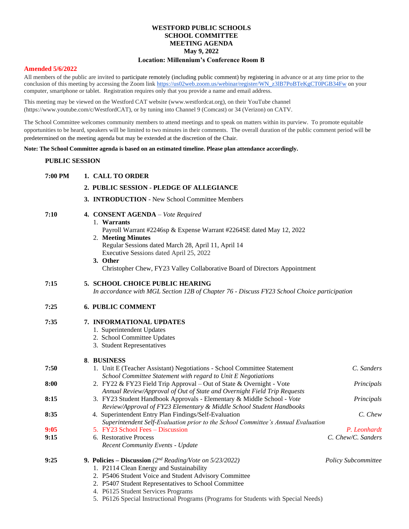## **WESTFORD PUBLIC SCHOOLS SCHOOL COMMITTEE MEETING AGENDA May 9, 2022**

### **Location: Millennium's Conference Room B**

#### **Amended 5/6/2022**

All members of the public are invited to participate remotely (including public comment) by registering in advance or at any time prior to the conclusion of this meeting by accessing the Zoom lin[k https://us02web.zoom.us/webinar/register/WN\\_z3lB7PoBTeKgCT0PGB34Fw](https://us02web.zoom.us/webinar/register/WN_z3lB7PoBTeKgCT0PGB34Fw) on your computer, smartphone or tablet. Registration requires only that you provide a name and email address.

This meeting may be viewed on the Westford CAT website (www.westfordcat.org), on their YouTube channel (https://www.youtube.com/c/WestfordCAT), or by tuning into Channel 9 (Comcast) or 34 (Verizon) on CATV.

The School Committee welcomes community members to attend meetings and to speak on matters within its purview. To promote equitable opportunities to be heard, speakers will be limited to two minutes in their comments. The overall duration of the public comment period will be predetermined on the meeting agenda but may be extended at the discretion of the Chair.

#### **Note: The School Committee agenda is based on an estimated timeline. Please plan attendance accordingly.**

#### **PUBLIC SESSION**

| 7:00 PM | 1. CALL TO ORDER<br>2. PUBLIC SESSION - PLEDGE OF ALLEGIANCE<br>3. INTRODUCTION - New School Committee Members                                                                                                                                                                                                                                          |                            |
|---------|---------------------------------------------------------------------------------------------------------------------------------------------------------------------------------------------------------------------------------------------------------------------------------------------------------------------------------------------------------|----------------------------|
|         |                                                                                                                                                                                                                                                                                                                                                         |                            |
|         |                                                                                                                                                                                                                                                                                                                                                         |                            |
| 7:10    | 4. CONSENT AGENDA - Vote Required<br>1. Warrants<br>Payroll Warrant #2246sp & Expense Warrant #2264SE dated May 12, 2022<br>2. Meeting Minutes<br>Regular Sessions dated March 28, April 11, April 14<br>Executive Sessions dated April 25, 2022<br>3. Other<br>Christopher Chew, FY23 Valley Collaborative Board of Directors Appointment              |                            |
| 7:15    | 5. SCHOOL CHOICE PUBLIC HEARING<br>In accordance with MGL Section 12B of Chapter 76 - Discuss FY23 School Choice participation                                                                                                                                                                                                                          |                            |
| 7:25    | <b>6. PUBLIC COMMENT</b>                                                                                                                                                                                                                                                                                                                                |                            |
| 7:35    | 7. INFORMATIONAL UPDATES<br>1. Superintendent Updates<br>2. School Committee Updates<br>3. Student Representatives                                                                                                                                                                                                                                      |                            |
|         | 8. BUSINESS                                                                                                                                                                                                                                                                                                                                             |                            |
| 7:50    | 1. Unit E (Teacher Assistant) Negotiations - School Committee Statement                                                                                                                                                                                                                                                                                 | C. Sanders                 |
|         | School Committee Statement with regard to Unit E Negotiations                                                                                                                                                                                                                                                                                           |                            |
| 8:00    | 2. FY22 & FY23 Field Trip Approval – Out of State & Overnight - Vote<br>Annual Review/Approval of Out of State and Overnight Field Trip Requests                                                                                                                                                                                                        | Principals                 |
| 8:15    | 3. FY23 Student Handbook Approvals - Elementary & Middle School - Vote<br>Review/Approval of FY23 Elementary & Middle School Student Handbooks                                                                                                                                                                                                          | Principals                 |
| 8:35    | 4. Superintendent Entry Plan Findings/Self-Evaluation<br>Superintendent Self-Evaluation prior to the School Committee's Annual Evaluation                                                                                                                                                                                                               | C. Chew                    |
| 9:05    | 5. FY23 School Fees - Discussion                                                                                                                                                                                                                                                                                                                        | P. Leonhardt               |
| 9:15    | 6. Restorative Process<br><b>Recent Community Events - Update</b>                                                                                                                                                                                                                                                                                       | C. Chew/C. Sanders         |
| 9:25    | 9. Policies – Discussion ( $2^{nd}$ Reading/Vote on 5/23/2022)<br>1. P2114 Clean Energy and Sustainability<br>2. P5406 Student Voice and Student Advisory Committee<br>2. P5407 Student Representatives to School Committee<br>4. P6125 Student Services Programs<br>5. P6126 Special Instructional Programs (Programs for Students with Special Needs) | <b>Policy Subcommittee</b> |